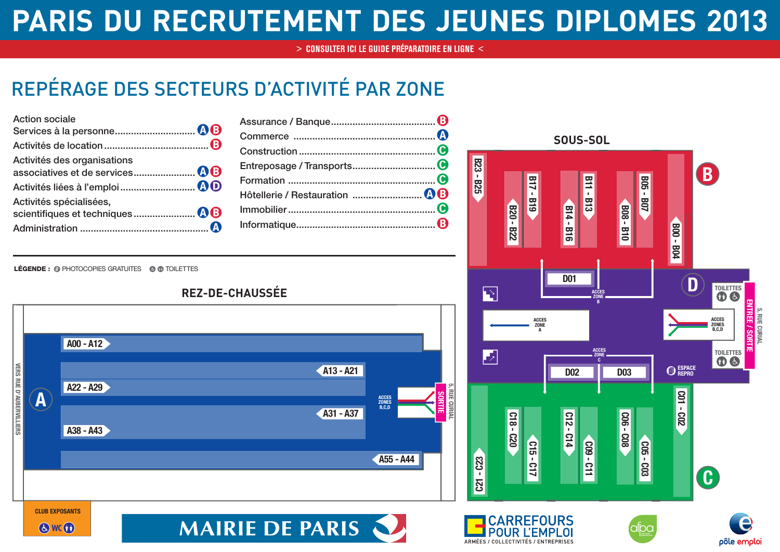## **PARIS DU RECRUTEMENT DES JEUNES DIPLOMES 2013**

**[> CONSULTER ICI LE GUIDE PRÉPARATOIRE EN LIGNE <](http://www.carrefoursemploi.org/telechargement/guidePreparatoirejdip2013.pdf)**

## REPÉRAGE DES SECTEURS D'ACTIVITÉ PAR ZONE

| <b>Action sociale</b>       |  |
|-----------------------------|--|
|                             |  |
|                             |  |
| Activités des organisations |  |
|                             |  |
|                             |  |
| Activités spécialisées,     |  |
|                             |  |
|                             |  |

**SOUS-SOL B23 - B25 B B05 - B07 B17 - B19 B11 - B13 B14 - B16 B08 - B10 B20 - B22 B00 - B04 D01 D TOILETTES**  $\overline{\mathbf{E}}$ **ACCES ZONE B ENTREE / SORTIE** ITREE 5, RUE CURIAI **5, RUE CURIAL ACCES ZONE ACCES ZONES B,C,D** SORTIE **A ACCES TOILETTES** 丙 **ZONE C ESPACE REPRO D02 D03 C01 - C02 C18 - C20 C12 - C14 C06 - C08 C15 - C17 C09 - C11 C05 - C03 C21 - C23 C**

LÉGENDE : @ PHOTOCOPIES GRATUITES @ @ TOILETTES

**WC**



**REZ-DE-CHAUSSÉE**